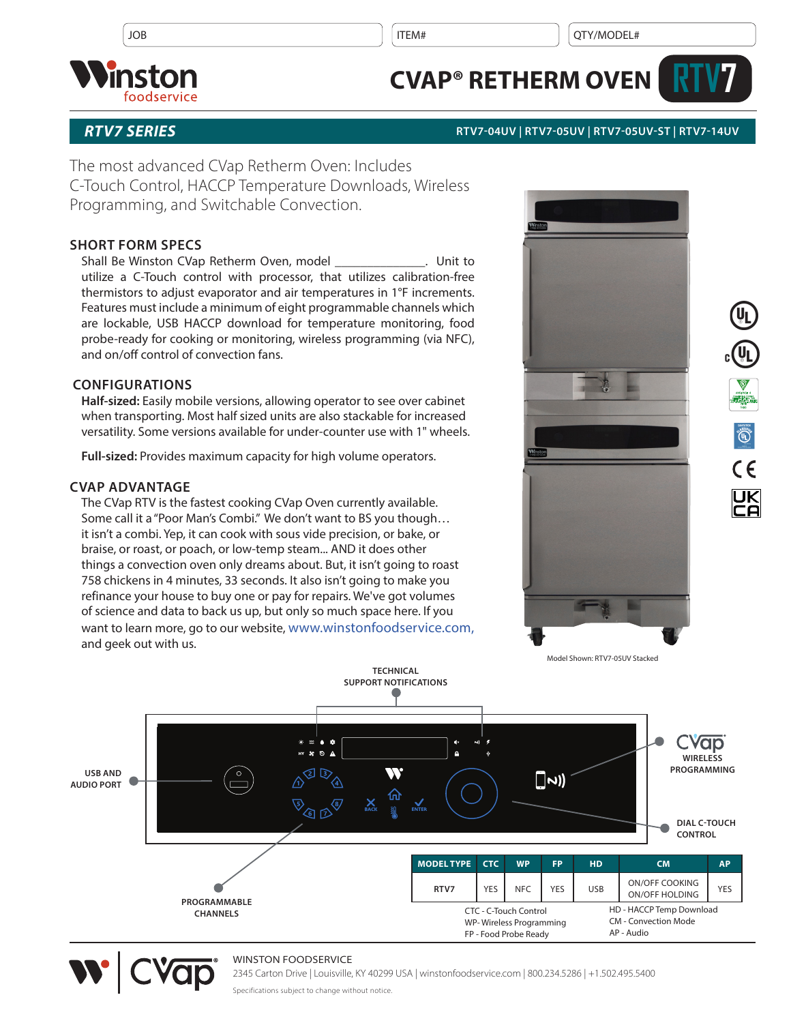$JOB$  is a set of the set of the set of the set of the set of the set of the set of the set of the set of the set of the set of the set of the set of the set of the set of the set of the set of the set of the set of the se



# **CVAP® RETHERM OVEN**



## *RTV7 SERIES* **RTV7-04UV | RTV7-05UV | RTV7-05UV-ST | RTV7-14UV**

The most advanced CVap Retherm Oven: Includes C-Touch Control, HACCP Temperature Downloads, Wireless Programming, and Switchable Convection.

# **SHORT FORM SPECS**

Shall Be Winston CVap Retherm Oven, model \_\_\_\_\_\_\_\_\_\_\_\_\_\_. Unit to utilize a C-Touch control with processor, that utilizes calibration-free thermistors to adjust evaporator and air temperatures in 1°F increments. Features must include a minimum of eight programmable channels which are lockable, USB HACCP download for temperature monitoring, food probe-ready for cooking or monitoring, wireless programming (via NFC), and on/off control of convection fans.

# **CONFIGURATIONS**

**Half-sized:** Easily mobile versions, allowing operator to see over cabinet when transporting. Most half sized units are also stackable for increased versatility. Some versions available for under-counter use with 1" wheels.

**Full-sized:** Provides maximum capacity for high volume operators.

# **CVAP ADVANTAGE**

The CVap RTV is the fastest cooking CVap Oven currently available. Some call it a "Poor Man's Combi." We don't want to BS you though… it isn't a combi. Yep, it can cook with sous vide precision, or bake, or braise, or roast, or poach, or low-temp steam... AND it does other things a convection oven only dreams about. But, it isn't going to roast 758 chickens in 4 minutes, 33 seconds. It also isn't going to make you refinance your house to buy one or pay for repairs. We've got volumes of science and data to back us up, but only so much space here. If you want to learn more, go to our website, www.winstonfoodservice.com, and geek out with us.







### WINSTON FOODSERVICE

2345 Carton Drive | Louisville, KY 40299 USA | winstonfoodservice.com | 800.234.5286 | +1.502.495.5400

Specifications subject to change without notice.